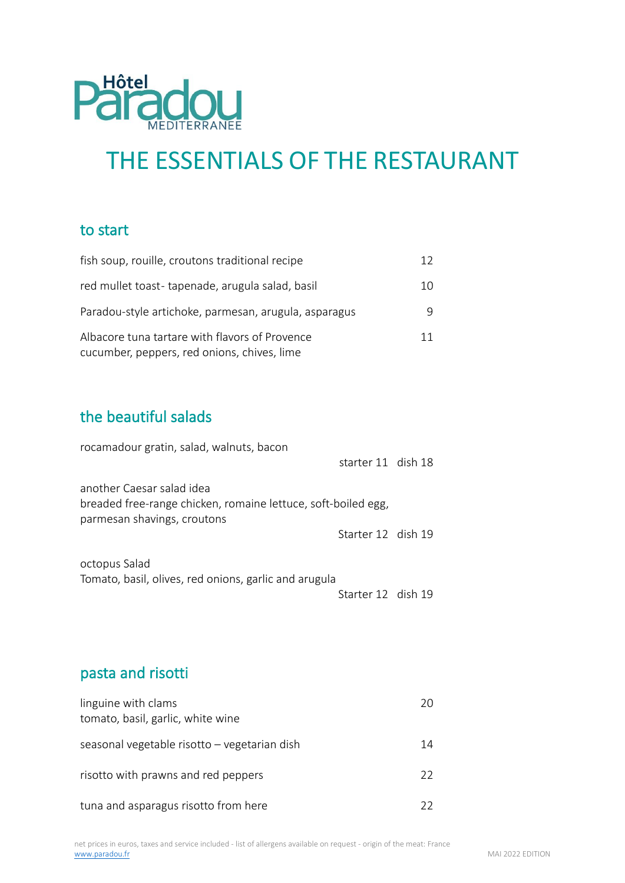

# THE ESSENTIALS OF THE RESTAURANT

#### to start

| fish soup, rouille, croutons traditional recipe                                               | 12 |
|-----------------------------------------------------------------------------------------------|----|
| red mullet toast-tapenade, arugula salad, basil                                               | 10 |
| Paradou-style artichoke, parmesan, arugula, asparagus                                         | 9  |
| Albacore tuna tartare with flavors of Provence<br>cucumber, peppers, red onions, chives, lime | 11 |

# the beautiful salads

| rocamadour gratin, salad, walnuts, bacon                                                                                  | starter 11 dish 18 |  |
|---------------------------------------------------------------------------------------------------------------------------|--------------------|--|
| another Caesar salad idea<br>breaded free-range chicken, romaine lettuce, soft-boiled egg,<br>parmesan shavings, croutons |                    |  |
|                                                                                                                           | Starter 12 dish 19 |  |
| octopus Salad<br>Tomato, basil, olives, red onions, garlic and arugula                                                    |                    |  |
|                                                                                                                           | Starter 12 dish 19 |  |

# pasta and risotti

| linguine with clams<br>tomato, basil, garlic, white wine | 20 |
|----------------------------------------------------------|----|
| seasonal vegetable risotto - vegetarian dish             | 14 |
| risotto with prawns and red peppers                      | 22 |
| tuna and asparagus risotto from here                     | フフ |